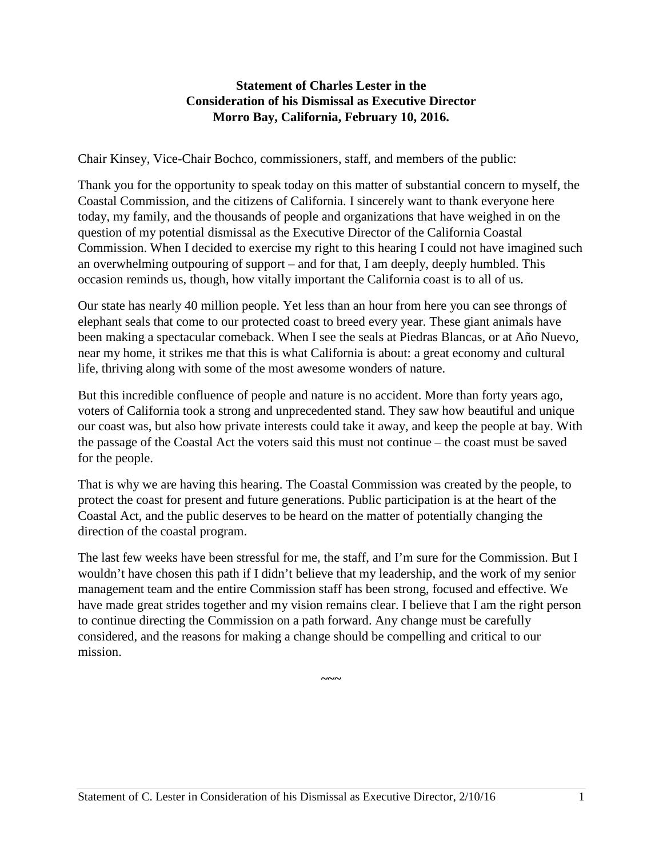#### **Statement of Charles Lester in the Consideration of his Dismissal as Executive Director Morro Bay, California, February 10, 2016.**

Chair Kinsey, Vice-Chair Bochco, commissioners, staff, and members of the public:

Thank you for the opportunity to speak today on this matter of substantial concern to myself, the Coastal Commission, and the citizens of California. I sincerely want to thank everyone here today, my family, and the thousands of people and organizations that have weighed in on the question of my potential dismissal as the Executive Director of the California Coastal Commission. When I decided to exercise my right to this hearing I could not have imagined such an overwhelming outpouring of support – and for that, I am deeply, deeply humbled. This occasion reminds us, though, how vitally important the California coast is to all of us.

Our state has nearly 40 million people. Yet less than an hour from here you can see throngs of elephant seals that come to our protected coast to breed every year. These giant animals have been making a spectacular comeback. When I see the seals at Piedras Blancas, or at Año Nuevo, near my home, it strikes me that this is what California is about: a great economy and cultural life, thriving along with some of the most awesome wonders of nature.

But this incredible confluence of people and nature is no accident. More than forty years ago, voters of California took a strong and unprecedented stand. They saw how beautiful and unique our coast was, but also how private interests could take it away, and keep the people at bay. With the passage of the Coastal Act the voters said this must not continue – the coast must be saved for the people.

That is why we are having this hearing. The Coastal Commission was created by the people, to protect the coast for present and future generations. Public participation is at the heart of the Coastal Act, and the public deserves to be heard on the matter of potentially changing the direction of the coastal program.

The last few weeks have been stressful for me, the staff, and I'm sure for the Commission. But I wouldn't have chosen this path if I didn't believe that my leadership, and the work of my senior management team and the entire Commission staff has been strong, focused and effective. We have made great strides together and my vision remains clear. I believe that I am the right person to continue directing the Commission on a path forward. Any change must be carefully considered, and the reasons for making a change should be compelling and critical to our mission.

**~~~**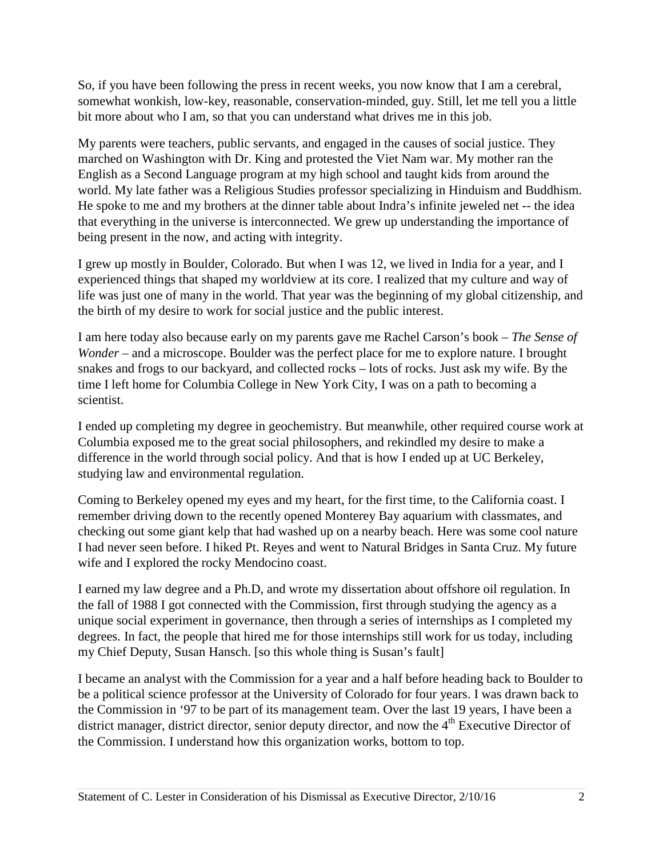So, if you have been following the press in recent weeks, you now know that I am a cerebral, somewhat wonkish, low-key, reasonable, conservation-minded, guy. Still, let me tell you a little bit more about who I am, so that you can understand what drives me in this job.

My parents were teachers, public servants, and engaged in the causes of social justice. They marched on Washington with Dr. King and protested the Viet Nam war. My mother ran the English as a Second Language program at my high school and taught kids from around the world. My late father was a Religious Studies professor specializing in Hinduism and Buddhism. He spoke to me and my brothers at the dinner table about Indra's infinite jeweled net -- the idea that everything in the universe is interconnected. We grew up understanding the importance of being present in the now, and acting with integrity.

I grew up mostly in Boulder, Colorado. But when I was 12, we lived in India for a year, and I experienced things that shaped my worldview at its core. I realized that my culture and way of life was just one of many in the world. That year was the beginning of my global citizenship, and the birth of my desire to work for social justice and the public interest.

I am here today also because early on my parents gave me Rachel Carson's book – *The Sense of Wonder* – and a microscope. Boulder was the perfect place for me to explore nature. I brought snakes and frogs to our backyard, and collected rocks – lots of rocks. Just ask my wife. By the time I left home for Columbia College in New York City, I was on a path to becoming a scientist.

I ended up completing my degree in geochemistry. But meanwhile, other required course work at Columbia exposed me to the great social philosophers, and rekindled my desire to make a difference in the world through social policy. And that is how I ended up at UC Berkeley, studying law and environmental regulation.

Coming to Berkeley opened my eyes and my heart, for the first time, to the California coast. I remember driving down to the recently opened Monterey Bay aquarium with classmates, and checking out some giant kelp that had washed up on a nearby beach. Here was some cool nature I had never seen before. I hiked Pt. Reyes and went to Natural Bridges in Santa Cruz. My future wife and I explored the rocky Mendocino coast.

I earned my law degree and a Ph.D, and wrote my dissertation about offshore oil regulation. In the fall of 1988 I got connected with the Commission, first through studying the agency as a unique social experiment in governance, then through a series of internships as I completed my degrees. In fact, the people that hired me for those internships still work for us today, including my Chief Deputy, Susan Hansch. [so this whole thing is Susan's fault]

I became an analyst with the Commission for a year and a half before heading back to Boulder to be a political science professor at the University of Colorado for four years. I was drawn back to the Commission in '97 to be part of its management team. Over the last 19 years, I have been a district manager, district director, senior deputy director, and now the 4<sup>th</sup> Executive Director of the Commission. I understand how this organization works, bottom to top.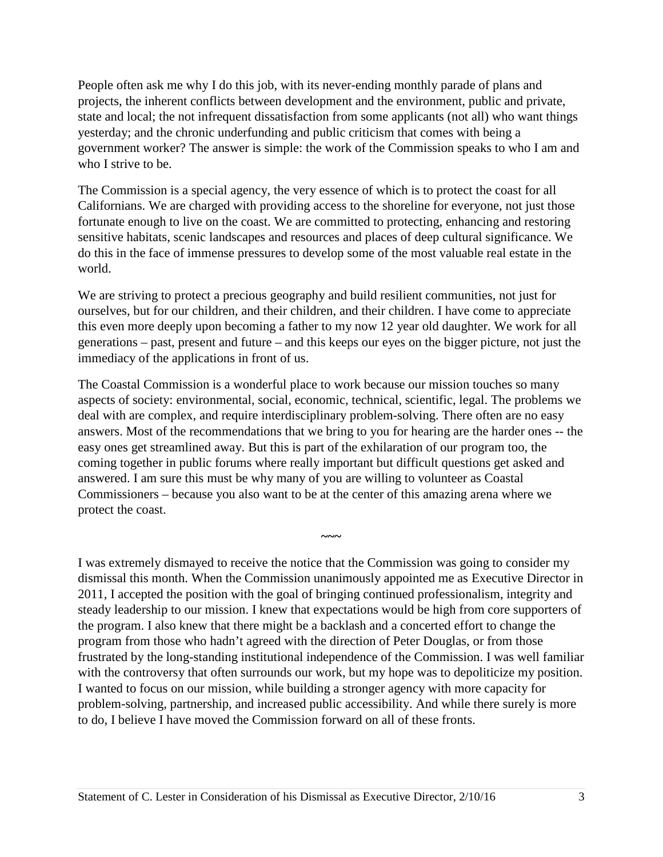People often ask me why I do this job, with its never-ending monthly parade of plans and projects, the inherent conflicts between development and the environment, public and private, state and local; the not infrequent dissatisfaction from some applicants (not all) who want things yesterday; and the chronic underfunding and public criticism that comes with being a government worker? The answer is simple: the work of the Commission speaks to who I am and who I strive to be.

The Commission is a special agency, the very essence of which is to protect the coast for all Californians. We are charged with providing access to the shoreline for everyone, not just those fortunate enough to live on the coast. We are committed to protecting, enhancing and restoring sensitive habitats, scenic landscapes and resources and places of deep cultural significance. We do this in the face of immense pressures to develop some of the most valuable real estate in the world.

We are striving to protect a precious geography and build resilient communities, not just for ourselves, but for our children, and their children, and their children. I have come to appreciate this even more deeply upon becoming a father to my now 12 year old daughter. We work for all generations – past, present and future – and this keeps our eyes on the bigger picture, not just the immediacy of the applications in front of us.

The Coastal Commission is a wonderful place to work because our mission touches so many aspects of society: environmental, social, economic, technical, scientific, legal. The problems we deal with are complex, and require interdisciplinary problem-solving. There often are no easy answers. Most of the recommendations that we bring to you for hearing are the harder ones -- the easy ones get streamlined away. But this is part of the exhilaration of our program too, the coming together in public forums where really important but difficult questions get asked and answered. I am sure this must be why many of you are willing to volunteer as Coastal Commissioners – because you also want to be at the center of this amazing arena where we protect the coast.

**~~~** 

I was extremely dismayed to receive the notice that the Commission was going to consider my dismissal this month. When the Commission unanimously appointed me as Executive Director in 2011, I accepted the position with the goal of bringing continued professionalism, integrity and steady leadership to our mission. I knew that expectations would be high from core supporters of the program. I also knew that there might be a backlash and a concerted effort to change the program from those who hadn't agreed with the direction of Peter Douglas, or from those frustrated by the long-standing institutional independence of the Commission. I was well familiar with the controversy that often surrounds our work, but my hope was to depoliticize my position. I wanted to focus on our mission, while building a stronger agency with more capacity for problem-solving, partnership, and increased public accessibility. And while there surely is more to do, I believe I have moved the Commission forward on all of these fronts.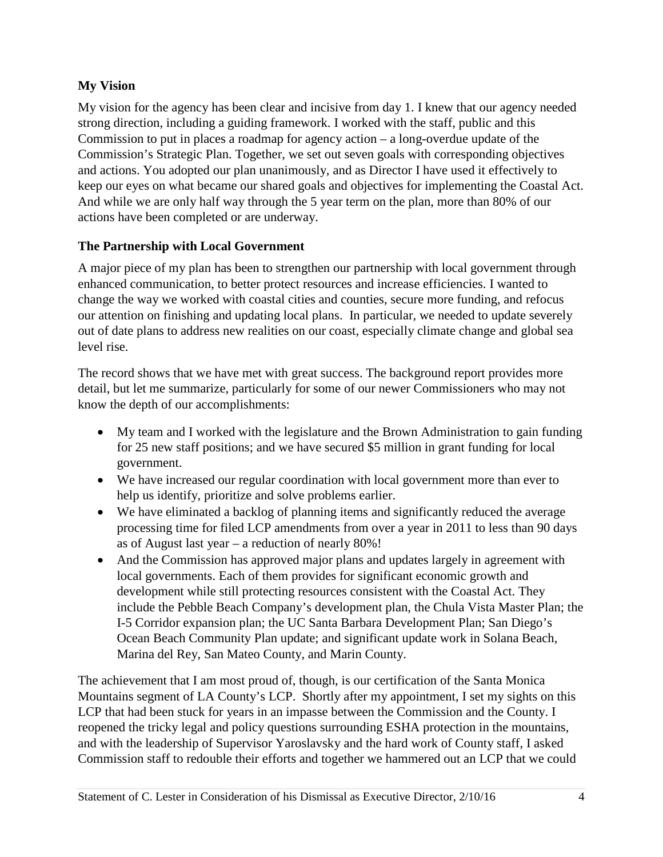# **My Vision**

My vision for the agency has been clear and incisive from day 1. I knew that our agency needed strong direction, including a guiding framework. I worked with the staff, public and this Commission to put in places a roadmap for agency action – a long-overdue update of the Commission's Strategic Plan. Together, we set out seven goals with corresponding objectives and actions. You adopted our plan unanimously, and as Director I have used it effectively to keep our eyes on what became our shared goals and objectives for implementing the Coastal Act. And while we are only half way through the 5 year term on the plan, more than 80% of our actions have been completed or are underway.

# **The Partnership with Local Government**

A major piece of my plan has been to strengthen our partnership with local government through enhanced communication, to better protect resources and increase efficiencies. I wanted to change the way we worked with coastal cities and counties, secure more funding, and refocus our attention on finishing and updating local plans. In particular, we needed to update severely out of date plans to address new realities on our coast, especially climate change and global sea level rise.

The record shows that we have met with great success. The background report provides more detail, but let me summarize, particularly for some of our newer Commissioners who may not know the depth of our accomplishments:

- My team and I worked with the legislature and the Brown Administration to gain funding for 25 new staff positions; and we have secured \$5 million in grant funding for local government.
- We have increased our regular coordination with local government more than ever to help us identify, prioritize and solve problems earlier.
- We have eliminated a backlog of planning items and significantly reduced the average processing time for filed LCP amendments from over a year in 2011 to less than 90 days as of August last year – a reduction of nearly 80%!
- And the Commission has approved major plans and updates largely in agreement with local governments. Each of them provides for significant economic growth and development while still protecting resources consistent with the Coastal Act. They include the Pebble Beach Company's development plan, the Chula Vista Master Plan; the I-5 Corridor expansion plan; the UC Santa Barbara Development Plan; San Diego's Ocean Beach Community Plan update; and significant update work in Solana Beach, Marina del Rey, San Mateo County, and Marin County.

The achievement that I am most proud of, though, is our certification of the Santa Monica Mountains segment of LA County's LCP. Shortly after my appointment, I set my sights on this LCP that had been stuck for years in an impasse between the Commission and the County. I reopened the tricky legal and policy questions surrounding ESHA protection in the mountains, and with the leadership of Supervisor Yaroslavsky and the hard work of County staff, I asked Commission staff to redouble their efforts and together we hammered out an LCP that we could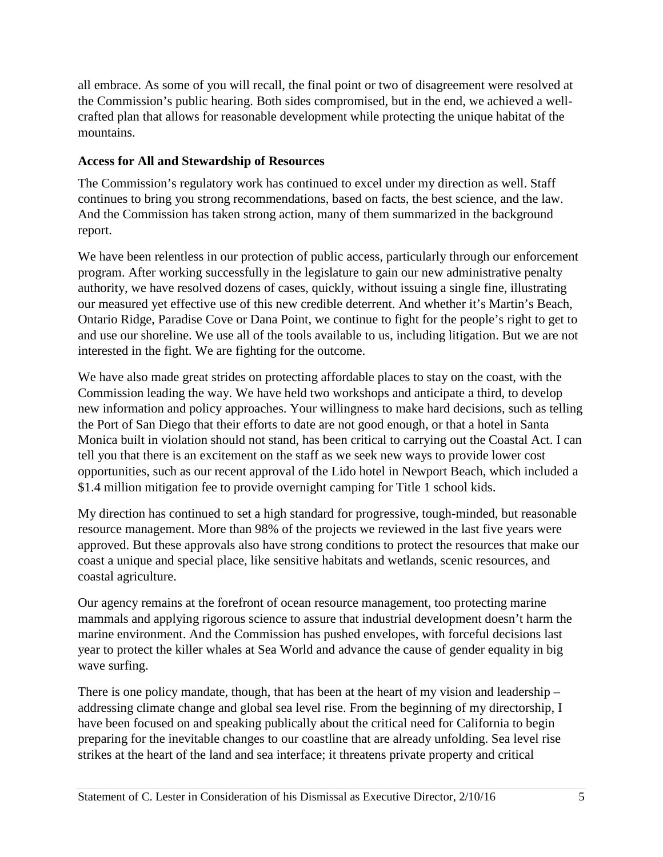all embrace. As some of you will recall, the final point or two of disagreement were resolved at the Commission's public hearing. Both sides compromised, but in the end, we achieved a wellcrafted plan that allows for reasonable development while protecting the unique habitat of the mountains.

## **Access for All and Stewardship of Resources**

The Commission's regulatory work has continued to excel under my direction as well. Staff continues to bring you strong recommendations, based on facts, the best science, and the law. And the Commission has taken strong action, many of them summarized in the background report.

We have been relentless in our protection of public access, particularly through our enforcement program. After working successfully in the legislature to gain our new administrative penalty authority, we have resolved dozens of cases, quickly, without issuing a single fine, illustrating our measured yet effective use of this new credible deterrent. And whether it's Martin's Beach, Ontario Ridge, Paradise Cove or Dana Point, we continue to fight for the people's right to get to and use our shoreline. We use all of the tools available to us, including litigation. But we are not interested in the fight. We are fighting for the outcome.

We have also made great strides on protecting affordable places to stay on the coast, with the Commission leading the way. We have held two workshops and anticipate a third, to develop new information and policy approaches. Your willingness to make hard decisions, such as telling the Port of San Diego that their efforts to date are not good enough, or that a hotel in Santa Monica built in violation should not stand, has been critical to carrying out the Coastal Act. I can tell you that there is an excitement on the staff as we seek new ways to provide lower cost opportunities, such as our recent approval of the Lido hotel in Newport Beach, which included a \$1.4 million mitigation fee to provide overnight camping for Title 1 school kids.

My direction has continued to set a high standard for progressive, tough-minded, but reasonable resource management. More than 98% of the projects we reviewed in the last five years were approved. But these approvals also have strong conditions to protect the resources that make our coast a unique and special place, like sensitive habitats and wetlands, scenic resources, and coastal agriculture.

Our agency remains at the forefront of ocean resource management, too protecting marine mammals and applying rigorous science to assure that industrial development doesn't harm the marine environment. And the Commission has pushed envelopes, with forceful decisions last year to protect the killer whales at Sea World and advance the cause of gender equality in big wave surfing.

There is one policy mandate, though, that has been at the heart of my vision and leadership – addressing climate change and global sea level rise. From the beginning of my directorship, I have been focused on and speaking publically about the critical need for California to begin preparing for the inevitable changes to our coastline that are already unfolding. Sea level rise strikes at the heart of the land and sea interface; it threatens private property and critical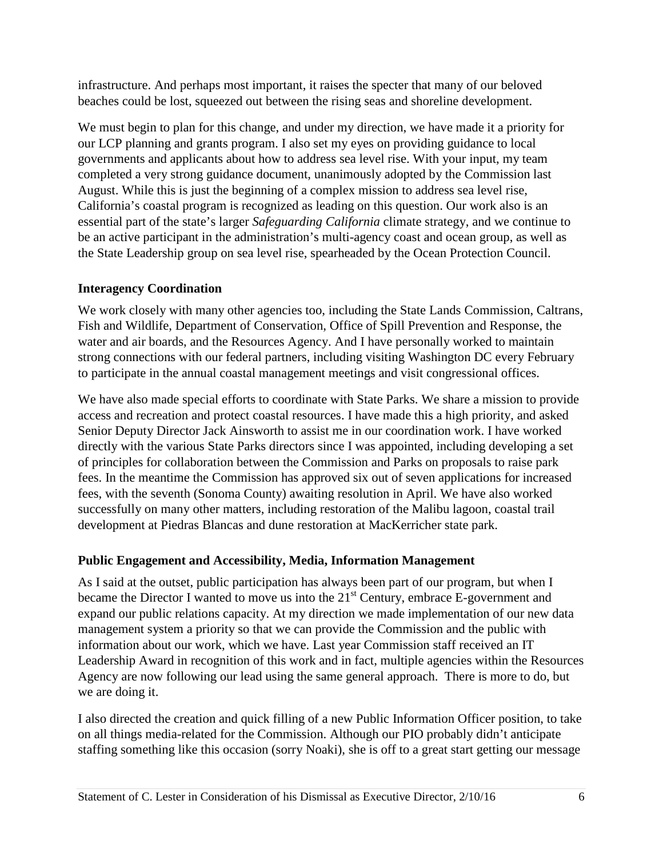infrastructure. And perhaps most important, it raises the specter that many of our beloved beaches could be lost, squeezed out between the rising seas and shoreline development.

We must begin to plan for this change, and under my direction, we have made it a priority for our LCP planning and grants program. I also set my eyes on providing guidance to local governments and applicants about how to address sea level rise. With your input, my team completed a very strong guidance document, unanimously adopted by the Commission last August. While this is just the beginning of a complex mission to address sea level rise, California's coastal program is recognized as leading on this question. Our work also is an essential part of the state's larger *Safeguarding California* climate strategy, and we continue to be an active participant in the administration's multi-agency coast and ocean group, as well as the State Leadership group on sea level rise, spearheaded by the Ocean Protection Council.

## **Interagency Coordination**

We work closely with many other agencies too, including the State Lands Commission, Caltrans, Fish and Wildlife, Department of Conservation, Office of Spill Prevention and Response, the water and air boards, and the Resources Agency. And I have personally worked to maintain strong connections with our federal partners, including visiting Washington DC every February to participate in the annual coastal management meetings and visit congressional offices.

We have also made special efforts to coordinate with State Parks. We share a mission to provide access and recreation and protect coastal resources. I have made this a high priority, and asked Senior Deputy Director Jack Ainsworth to assist me in our coordination work. I have worked directly with the various State Parks directors since I was appointed, including developing a set of principles for collaboration between the Commission and Parks on proposals to raise park fees. In the meantime the Commission has approved six out of seven applications for increased fees, with the seventh (Sonoma County) awaiting resolution in April. We have also worked successfully on many other matters, including restoration of the Malibu lagoon, coastal trail development at Piedras Blancas and dune restoration at MacKerricher state park.

#### **Public Engagement and Accessibility, Media, Information Management**

As I said at the outset, public participation has always been part of our program, but when I became the Director I wanted to move us into the  $21<sup>st</sup>$  Century, embrace E-government and expand our public relations capacity. At my direction we made implementation of our new data management system a priority so that we can provide the Commission and the public with information about our work, which we have. Last year Commission staff received an IT Leadership Award in recognition of this work and in fact, multiple agencies within the Resources Agency are now following our lead using the same general approach. There is more to do, but we are doing it.

I also directed the creation and quick filling of a new Public Information Officer position, to take on all things media-related for the Commission. Although our PIO probably didn't anticipate staffing something like this occasion (sorry Noaki), she is off to a great start getting our message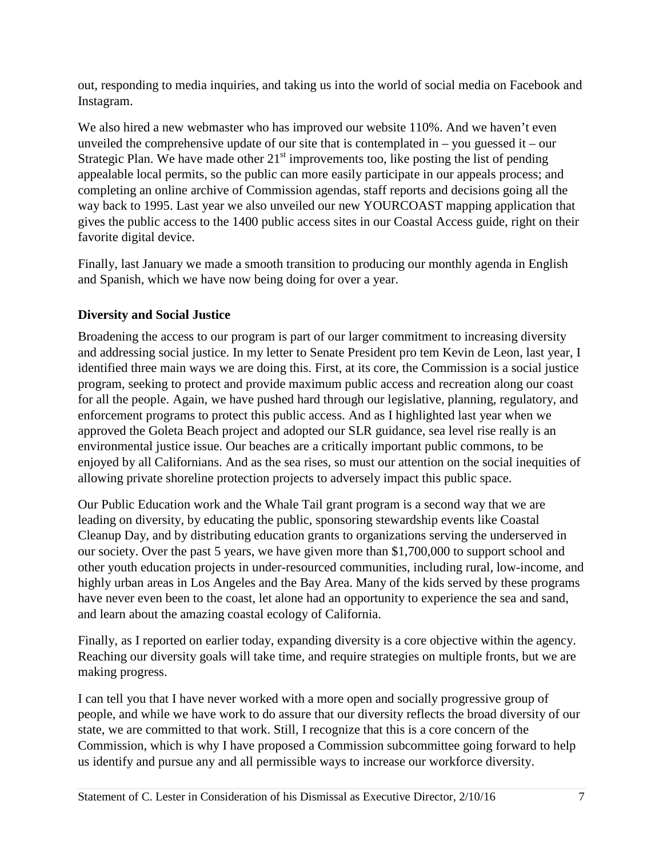out, responding to media inquiries, and taking us into the world of social media on Facebook and Instagram.

We also hired a new webmaster who has improved our website 110%. And we haven't even unveiled the comprehensive update of our site that is contemplated in  $-$  you guessed it  $-$  our Strategic Plan. We have made other  $21<sup>st</sup>$  improvements too, like posting the list of pending appealable local permits, so the public can more easily participate in our appeals process; and completing an online archive of Commission agendas, staff reports and decisions going all the way back to 1995. Last year we also unveiled our new YOURCOAST mapping application that gives the public access to the 1400 public access sites in our Coastal Access guide, right on their favorite digital device.

Finally, last January we made a smooth transition to producing our monthly agenda in English and Spanish, which we have now being doing for over a year.

# **Diversity and Social Justice**

Broadening the access to our program is part of our larger commitment to increasing diversity and addressing social justice. In my letter to Senate President pro tem Kevin de Leon, last year, I identified three main ways we are doing this. First, at its core, the Commission is a social justice program, seeking to protect and provide maximum public access and recreation along our coast for all the people. Again, we have pushed hard through our legislative, planning, regulatory, and enforcement programs to protect this public access. And as I highlighted last year when we approved the Goleta Beach project and adopted our SLR guidance, sea level rise really is an environmental justice issue. Our beaches are a critically important public commons, to be enjoyed by all Californians. And as the sea rises, so must our attention on the social inequities of allowing private shoreline protection projects to adversely impact this public space.

Our Public Education work and the Whale Tail grant program is a second way that we are leading on diversity, by educating the public, sponsoring stewardship events like Coastal Cleanup Day, and by distributing education grants to organizations serving the underserved in our society. Over the past 5 years, we have given more than \$1,700,000 to support school and other youth education projects in under-resourced communities, including rural, low-income, and highly urban areas in Los Angeles and the Bay Area. Many of the kids served by these programs have never even been to the coast, let alone had an opportunity to experience the sea and sand, and learn about the amazing coastal ecology of California.

Finally, as I reported on earlier today, expanding diversity is a core objective within the agency. Reaching our diversity goals will take time, and require strategies on multiple fronts, but we are making progress.

I can tell you that I have never worked with a more open and socially progressive group of people, and while we have work to do assure that our diversity reflects the broad diversity of our state, we are committed to that work. Still, I recognize that this is a core concern of the Commission, which is why I have proposed a Commission subcommittee going forward to help us identify and pursue any and all permissible ways to increase our workforce diversity.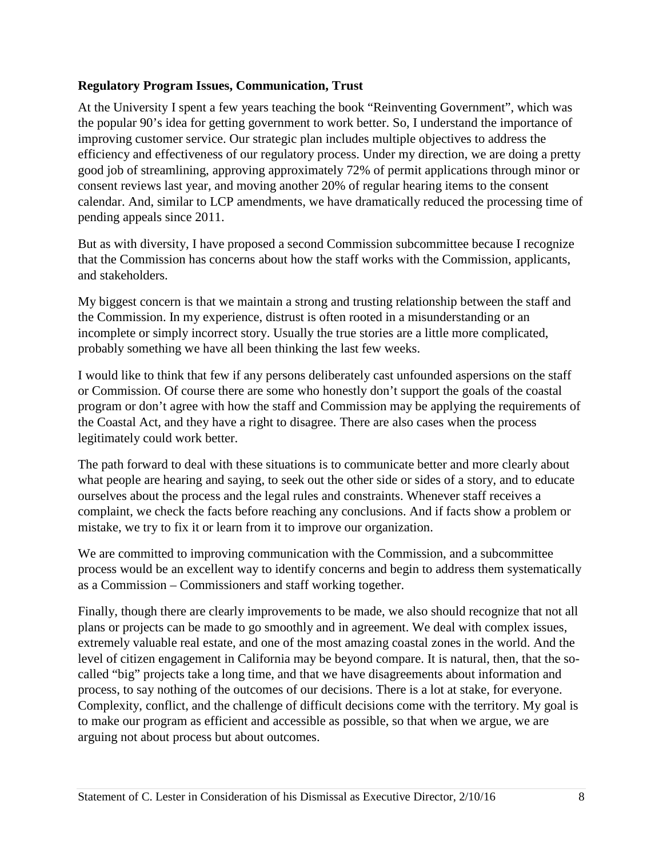### **Regulatory Program Issues, Communication, Trust**

At the University I spent a few years teaching the book "Reinventing Government", which was the popular 90's idea for getting government to work better. So, I understand the importance of improving customer service. Our strategic plan includes multiple objectives to address the efficiency and effectiveness of our regulatory process. Under my direction, we are doing a pretty good job of streamlining, approving approximately 72% of permit applications through minor or consent reviews last year, and moving another 20% of regular hearing items to the consent calendar. And, similar to LCP amendments, we have dramatically reduced the processing time of pending appeals since 2011.

But as with diversity, I have proposed a second Commission subcommittee because I recognize that the Commission has concerns about how the staff works with the Commission, applicants, and stakeholders.

My biggest concern is that we maintain a strong and trusting relationship between the staff and the Commission. In my experience, distrust is often rooted in a misunderstanding or an incomplete or simply incorrect story. Usually the true stories are a little more complicated, probably something we have all been thinking the last few weeks.

I would like to think that few if any persons deliberately cast unfounded aspersions on the staff or Commission. Of course there are some who honestly don't support the goals of the coastal program or don't agree with how the staff and Commission may be applying the requirements of the Coastal Act, and they have a right to disagree. There are also cases when the process legitimately could work better.

The path forward to deal with these situations is to communicate better and more clearly about what people are hearing and saying, to seek out the other side or sides of a story, and to educate ourselves about the process and the legal rules and constraints. Whenever staff receives a complaint, we check the facts before reaching any conclusions. And if facts show a problem or mistake, we try to fix it or learn from it to improve our organization.

We are committed to improving communication with the Commission, and a subcommittee process would be an excellent way to identify concerns and begin to address them systematically as a Commission – Commissioners and staff working together.

Finally, though there are clearly improvements to be made, we also should recognize that not all plans or projects can be made to go smoothly and in agreement. We deal with complex issues, extremely valuable real estate, and one of the most amazing coastal zones in the world. And the level of citizen engagement in California may be beyond compare. It is natural, then, that the socalled "big" projects take a long time, and that we have disagreements about information and process, to say nothing of the outcomes of our decisions. There is a lot at stake, for everyone. Complexity, conflict, and the challenge of difficult decisions come with the territory. My goal is to make our program as efficient and accessible as possible, so that when we argue, we are arguing not about process but about outcomes.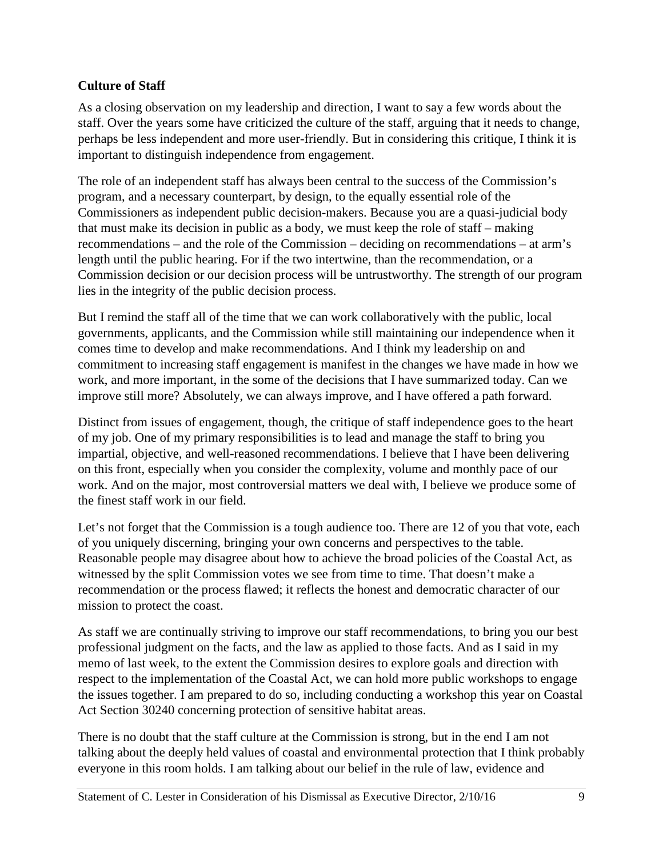## **Culture of Staff**

As a closing observation on my leadership and direction, I want to say a few words about the staff. Over the years some have criticized the culture of the staff, arguing that it needs to change, perhaps be less independent and more user-friendly. But in considering this critique, I think it is important to distinguish independence from engagement.

The role of an independent staff has always been central to the success of the Commission's program, and a necessary counterpart, by design, to the equally essential role of the Commissioners as independent public decision-makers. Because you are a quasi-judicial body that must make its decision in public as a body, we must keep the role of staff – making recommendations – and the role of the Commission – deciding on recommendations – at arm's length until the public hearing. For if the two intertwine, than the recommendation, or a Commission decision or our decision process will be untrustworthy. The strength of our program lies in the integrity of the public decision process.

But I remind the staff all of the time that we can work collaboratively with the public, local governments, applicants, and the Commission while still maintaining our independence when it comes time to develop and make recommendations. And I think my leadership on and commitment to increasing staff engagement is manifest in the changes we have made in how we work, and more important, in the some of the decisions that I have summarized today. Can we improve still more? Absolutely, we can always improve, and I have offered a path forward.

Distinct from issues of engagement, though, the critique of staff independence goes to the heart of my job. One of my primary responsibilities is to lead and manage the staff to bring you impartial, objective, and well-reasoned recommendations. I believe that I have been delivering on this front, especially when you consider the complexity, volume and monthly pace of our work. And on the major, most controversial matters we deal with, I believe we produce some of the finest staff work in our field.

Let's not forget that the Commission is a tough audience too. There are 12 of you that vote, each of you uniquely discerning, bringing your own concerns and perspectives to the table. Reasonable people may disagree about how to achieve the broad policies of the Coastal Act, as witnessed by the split Commission votes we see from time to time. That doesn't make a recommendation or the process flawed; it reflects the honest and democratic character of our mission to protect the coast.

As staff we are continually striving to improve our staff recommendations, to bring you our best professional judgment on the facts, and the law as applied to those facts. And as I said in my memo of last week, to the extent the Commission desires to explore goals and direction with respect to the implementation of the Coastal Act, we can hold more public workshops to engage the issues together. I am prepared to do so, including conducting a workshop this year on Coastal Act Section 30240 concerning protection of sensitive habitat areas.

There is no doubt that the staff culture at the Commission is strong, but in the end I am not talking about the deeply held values of coastal and environmental protection that I think probably everyone in this room holds. I am talking about our belief in the rule of law, evidence and